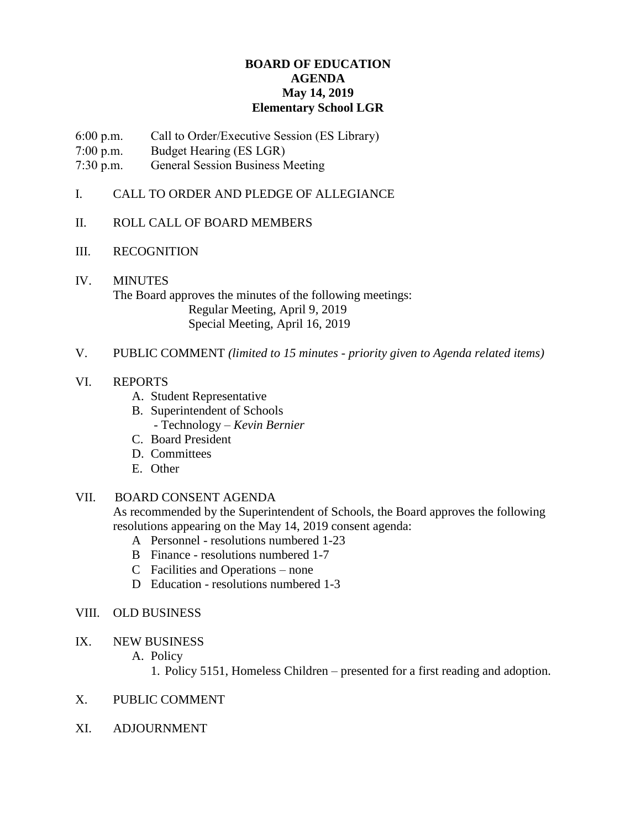## **BOARD OF EDUCATION AGENDA May 14, 2019 Elementary School LGR**

6:00 p.m. Call to Order/Executive Session (ES Library)

7:00 p.m. Budget Hearing (ES LGR)

7:30 p.m. General Session Business Meeting

# I. CALL TO ORDER AND PLEDGE OF ALLEGIANCE

## II. ROLL CALL OF BOARD MEMBERS

## III. RECOGNITION

## IV. MINUTES The Board approves the minutes of the following meetings: Regular Meeting, April 9, 2019 Special Meeting, April 16, 2019

## V. PUBLIC COMMENT *(limited to 15 minutes - priority given to Agenda related items)*

## VI. REPORTS

- A. Student Representative
- B. Superintendent of Schools
	- Technology *Kevin Bernier*
- C. Board President
- D. Committees
- E. Other

## VII. BOARD CONSENT AGENDA

As recommended by the Superintendent of Schools, the Board approves the following resolutions appearing on the May 14, 2019 consent agenda:

- A Personnel resolutions numbered 1-23
- B Finance resolutions numbered 1-7
- C Facilities and Operations none
- D Education resolutions numbered 1-3
- VIII. OLD BUSINESS
- IX. NEW BUSINESS
	- A. Policy
		- 1. Policy 5151, Homeless Children presented for a first reading and adoption.
- X. PUBLIC COMMENT
- XI. ADJOURNMENT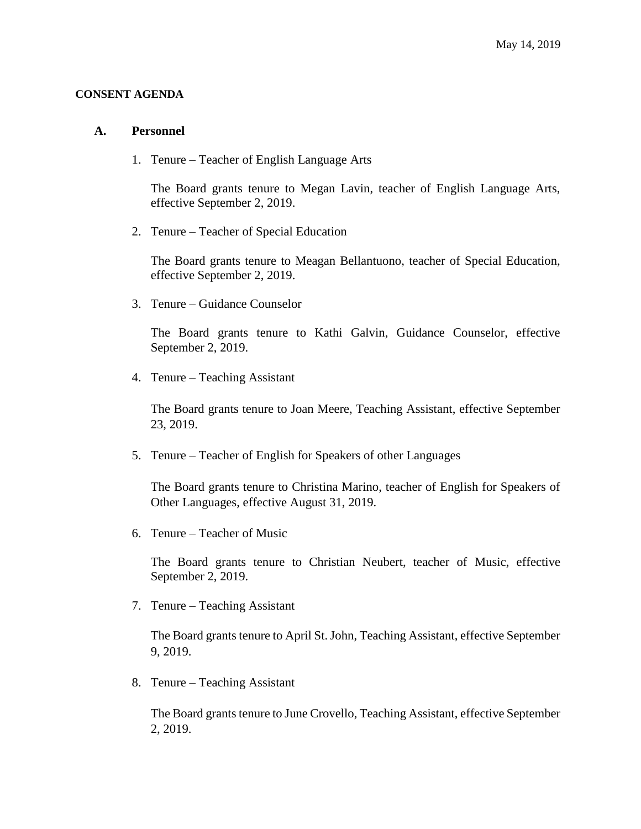#### **CONSENT AGENDA**

#### **A. Personnel**

1. Tenure – Teacher of English Language Arts

The Board grants tenure to Megan Lavin, teacher of English Language Arts, effective September 2, 2019.

2. Tenure – Teacher of Special Education

The Board grants tenure to Meagan Bellantuono, teacher of Special Education, effective September 2, 2019.

3. Tenure – Guidance Counselor

The Board grants tenure to Kathi Galvin, Guidance Counselor, effective September 2, 2019.

4. Tenure – Teaching Assistant

The Board grants tenure to Joan Meere, Teaching Assistant, effective September 23, 2019.

5. Tenure – Teacher of English for Speakers of other Languages

The Board grants tenure to Christina Marino, teacher of English for Speakers of Other Languages, effective August 31, 2019.

6. Tenure – Teacher of Music

The Board grants tenure to Christian Neubert, teacher of Music, effective September 2, 2019.

7. Tenure – Teaching Assistant

The Board grants tenure to April St. John, Teaching Assistant, effective September 9, 2019.

8. Tenure – Teaching Assistant

The Board grants tenure to June Crovello, Teaching Assistant, effective September 2, 2019.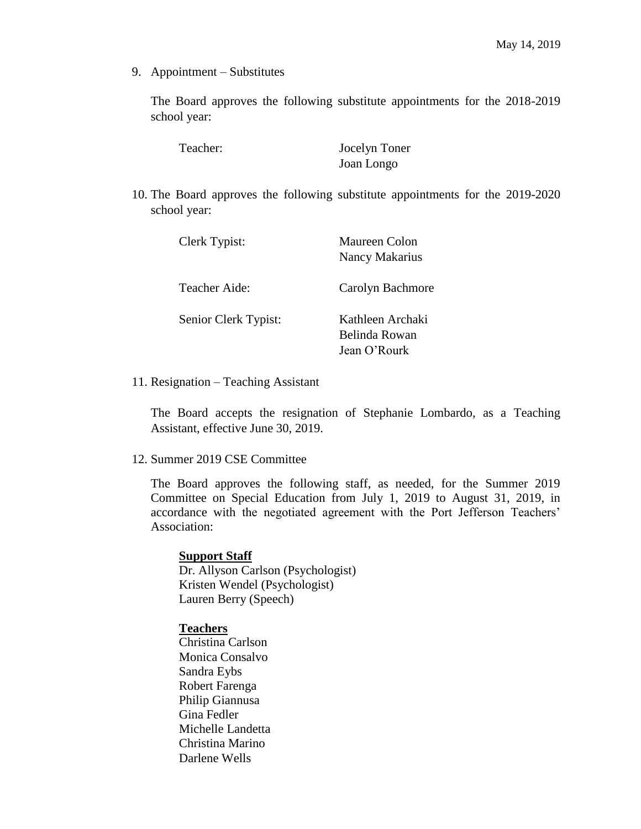9. Appointment – Substitutes

The Board approves the following substitute appointments for the 2018-2019 school year:

Teacher: Jocelyn Toner

Joan Longo

10. The Board approves the following substitute appointments for the 2019-2020 school year:

| Clerk Typist:        | Maureen Colon<br>Nancy Makarius                      |
|----------------------|------------------------------------------------------|
| Teacher Aide:        | Carolyn Bachmore                                     |
| Senior Clerk Typist: | Kathleen Archaki<br>Belinda Rowan<br>Jean $O'$ Rourk |

11. Resignation – Teaching Assistant

The Board accepts the resignation of Stephanie Lombardo, as a Teaching Assistant, effective June 30, 2019.

12. Summer 2019 CSE Committee

The Board approves the following staff, as needed, for the Summer 2019 Committee on Special Education from July 1, 2019 to August 31, 2019, in accordance with the negotiated agreement with the Port Jefferson Teachers' Association:

### **Support Staff**

Dr. Allyson Carlson (Psychologist) Kristen Wendel (Psychologist) Lauren Berry (Speech)

### **Teachers**

Christina Carlson Monica Consalvo Sandra Eybs Robert Farenga Philip Giannusa Gina Fedler Michelle Landetta Christina Marino Darlene Wells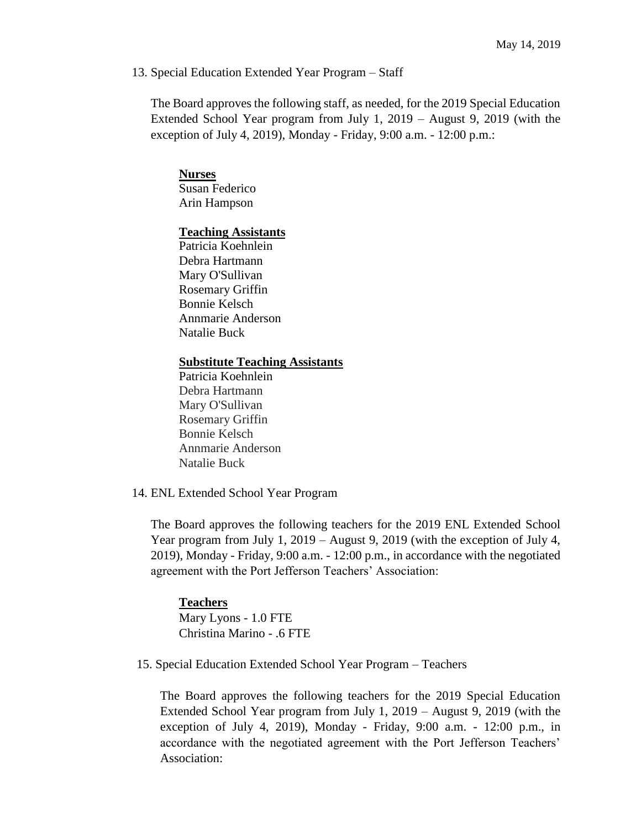#### 13. Special Education Extended Year Program – Staff

The Board approves the following staff, as needed, for the 2019 Special Education Extended School Year program from July 1, 2019 – August 9, 2019 (with the exception of July 4, 2019), Monday - Friday, 9:00 a.m. - 12:00 p.m.:

### **Nurses**

Susan Federico Arin Hampson

#### **Teaching Assistants**

Patricia Koehnlein Debra Hartmann Mary O'Sullivan Rosemary Griffin Bonnie Kelsch Annmarie Anderson Natalie Buck

### **Substitute Teaching Assistants**

Patricia Koehnlein Debra Hartmann Mary O'Sullivan Rosemary Griffin Bonnie Kelsch Annmarie Anderson Natalie Buck

14. ENL Extended School Year Program

The Board approves the following teachers for the 2019 ENL Extended School Year program from July 1, 2019 – August 9, 2019 (with the exception of July 4, 2019), Monday - Friday, 9:00 a.m. - 12:00 p.m., in accordance with the negotiated agreement with the Port Jefferson Teachers' Association:

#### **Teachers** Mary Lyons - 1.0 FTE

Christina Marino - .6 FTE

15. Special Education Extended School Year Program – Teachers

The Board approves the following teachers for the 2019 Special Education Extended School Year program from July 1, 2019 – August 9, 2019 (with the exception of July 4, 2019), Monday - Friday, 9:00 a.m. - 12:00 p.m., in accordance with the negotiated agreement with the Port Jefferson Teachers' Association: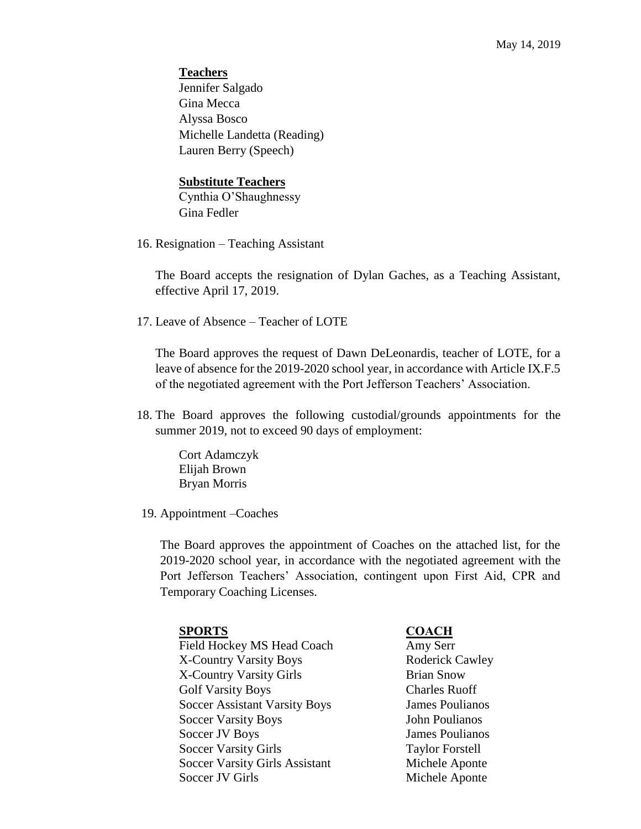**Teachers** Jennifer Salgado Gina Mecca Alyssa Bosco Michelle Landetta (Reading) Lauren Berry (Speech)

## **Substitute Teachers**

Cynthia O'Shaughnessy Gina Fedler

16. Resignation – Teaching Assistant

The Board accepts the resignation of Dylan Gaches, as a Teaching Assistant, effective April 17, 2019.

17. Leave of Absence – Teacher of LOTE

The Board approves the request of Dawn DeLeonardis, teacher of LOTE, for a leave of absence for the 2019-2020 school year, in accordance with Article IX.F.5 of the negotiated agreement with the Port Jefferson Teachers' Association.

18. The Board approves the following custodial/grounds appointments for the summer 2019, not to exceed 90 days of employment:

Cort Adamczyk Elijah Brown Bryan Morris

19. Appointment –Coaches

The Board approves the appointment of Coaches on the attached list, for the 2019-2020 school year, in accordance with the negotiated agreement with the Port Jefferson Teachers' Association, contingent upon First Aid, CPR and Temporary Coaching Licenses.

### **SPORTS COACH**

Field Hockey MS Head Coach X-Country Varsity Boys X-Country Varsity Girls Brian Snow Golf Varsity Boys Charles Ruoff Soccer Assistant Varsity Boys James Poulianos Soccer Varsity Boys Soccer JV Boys Soccer Varsity Girls Soccer Varsity Girls Assistant Soccer JV Girls

Amy Serr Roderick Cawley John Poulianos James Poulianos Taylor Forstell Michele Aponte Michele Aponte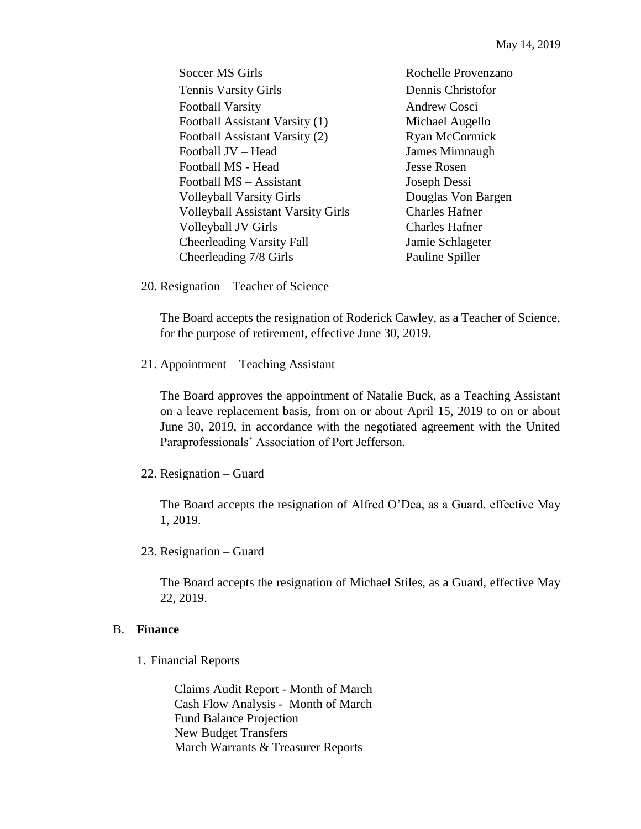Soccer MS Girls Rochelle Provenzano Tennis Varsity Girls Dennis Christofor Football Varsity **Andrew Cosci** Football Assistant Varsity (1) Michael Augello Football Assistant Varsity (2) Ryan McCormick Football JV – Head James Mimnaugh Football MS - Head Jesse Rosen Football MS – Assistant Joseph Dessi Volleyball Varsity Girls Douglas Von Bargen Volleyball Assistant Varsity Girls Charles Hafner Volleyball JV Girls Charles Hafner Cheerleading Varsity Fall Jamie Schlageter Cheerleading 7/8 Girls Pauline Spiller

20. Resignation – Teacher of Science

The Board accepts the resignation of Roderick Cawley, as a Teacher of Science, for the purpose of retirement, effective June 30, 2019.

21. Appointment – Teaching Assistant

The Board approves the appointment of Natalie Buck, as a Teaching Assistant on a leave replacement basis, from on or about April 15, 2019 to on or about June 30, 2019, in accordance with the negotiated agreement with the United Paraprofessionals' Association of Port Jefferson.

22. Resignation – Guard

The Board accepts the resignation of Alfred O'Dea, as a Guard, effective May 1, 2019.

23. Resignation – Guard

The Board accepts the resignation of Michael Stiles, as a Guard, effective May 22, 2019.

#### B. **Finance**

1. Financial Reports

Claims Audit Report - Month of March Cash Flow Analysis - Month of March Fund Balance Projection New Budget Transfers March Warrants & Treasurer Reports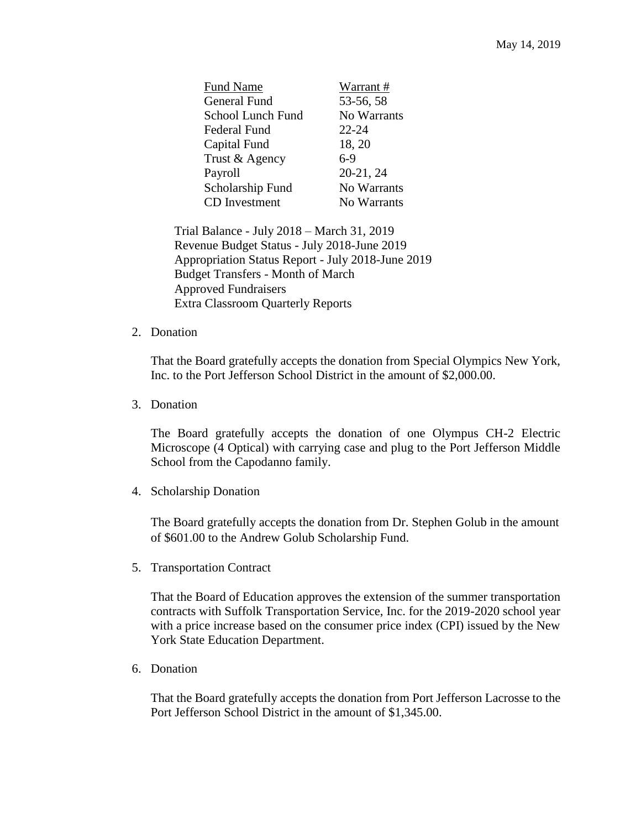| <b>Fund Name</b>     | Warrant#    |
|----------------------|-------------|
| <b>General Fund</b>  | 53-56, 58   |
| School Lunch Fund    | No Warrants |
| Federal Fund         | $22 - 24$   |
| Capital Fund         | 18, 20      |
| Trust & Agency       | $6-9$       |
| Payroll              | 20-21, 24   |
| Scholarship Fund     | No Warrants |
| <b>CD</b> Investment | No Warrants |

Trial Balance - July 2018 – March 31, 2019 Revenue Budget Status - July 2018-June 2019 Appropriation Status Report - July 2018-June 2019 Budget Transfers - Month of March Approved Fundraisers Extra Classroom Quarterly Reports

2. Donation

That the Board gratefully accepts the donation from Special Olympics New York, Inc. to the Port Jefferson School District in the amount of \$2,000.00.

3. Donation

The Board gratefully accepts the donation of one Olympus CH-2 Electric Microscope (4 Optical) with carrying case and plug to the Port Jefferson Middle School from the Capodanno family.

4. Scholarship Donation

The Board gratefully accepts the donation from Dr. Stephen Golub in the amount of \$601.00 to the Andrew Golub Scholarship Fund.

5. Transportation Contract

That the Board of Education approves the extension of the summer transportation contracts with Suffolk Transportation Service, Inc. for the 2019-2020 school year with a price increase based on the consumer price index (CPI) issued by the New York State Education Department.

6. Donation

That the Board gratefully accepts the donation from Port Jefferson Lacrosse to the Port Jefferson School District in the amount of \$1,345.00.